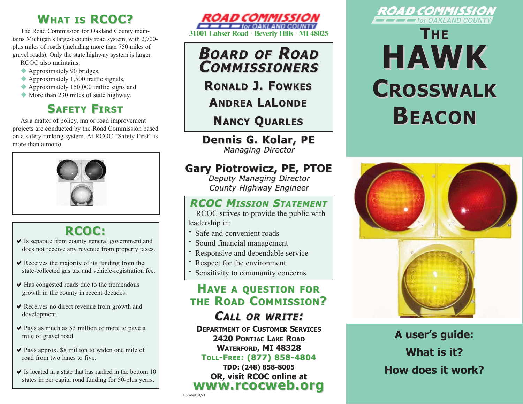## **WHAT IS RCOC?**

The Road Commission for Oakland County maintains Michigan's largest county road system, with 2,700 plus miles of roads (including more than 750 miles of gravel roads). Only the state highway system is larger.

- RCOC also maintains:
- $\blacklozenge$  Approximately 90 bridges,
- Approximately 1,500 traffic signals,
- $\triangle$  Approximately 150,000 traffic signs and
- More than 230 miles of state highway.

## **SAFETY FIRST**

As a matter of policy, major road improvement projects are conducted by the Road Commission based on a safety ranking system. At RCOC "Safety First" is more than a motto.



## **RCOC:**

- $\vee$  Is separate from county general government and does not receive any revenue from property taxes.
- $\vee$  Receives the majority of its funding from the state-collected gas tax and vehicle-registration fee.
- $\blacktriangleright$  Has congested roads due to the tremendous growth in the county in recent decades.
- $\vee$  Receives no direct revenue from growth and development.
- $\vee$  Pays as much as \$3 million or more to pave a mile of gravel road.
- $\vee$  Pays approx. \$8 million to widen one mile of road from two lanes to five.
- $\blacktriangleright$  Is located in a state that has ranked in the bottom 10 states in per capita road funding for 50-plus years.



**BOARD OF ROAD COMMISSIONERS OMMISSIONERS**

**RONALD J. FOWKES**

**ANDREA L A LONDE**

**NANCY QUARLES**

**Dennis G. Kolar, PE Dennis G. Kolar, PE Managing Director** 

### **Gary Piotrowicz, PE, PTOE Gary Piotrowicz, PE, PTOE**

Deputy Managing Director County Highway Engineer

### **RCOC MISSION STATEMENT**

RCOC strives to provide the public with leadership in:

- **·** Safe and convenient roads
- **·** Sound financial management
- Responsive and dependable service
- **·**Respect for the environment
- **·**Sensitivity to community concerns

### **HAVE A QUESTION FOR THE ROAD COMMISSION?**

### **CALL OR WRITE :**

**DEPARTMENT OF CUSTOMER SERVICES 2420 PONTIAC LAKE ROAD WATERFORD, MI 48328 TOLL-FREE: (877) 858-4804 : (877) 858-4804**

**TDD: (248) 858-8005 OR, visit RCOC online at www.rcocweb.org www.rcocweb.org**



# **THE HAWK CROSSWALK ROSSWALK BEACON**



**A user's guide: What is it? How does it work?**